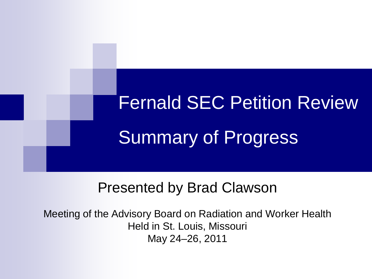# Fernald SEC Petition Review Summary of Progress

### Presented by Brad Clawson

Meeting of the Advisory Board on Radiation and Worker Health Held in St. Louis, Missouri May 24–26, 2011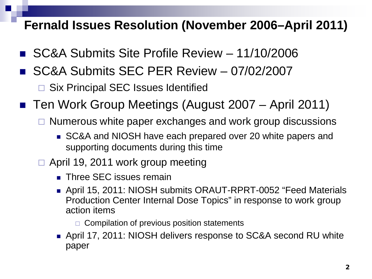#### **Fernald Issues Resolution (November 2006–April 2011)**

- SC&A Submits Site Profile Review 11/10/2006
- SC&A Submits SEC PER Review 07/02/2007

□ Six Principal SEC Issues Identified

- Ten Work Group Meetings (August 2007 April 2011)
	- $\Box$  Numerous white paper exchanges and work group discussions
		- SC&A and NIOSH have each prepared over 20 white papers and supporting documents during this time
	- $\Box$  April 19, 2011 work group meeting
		- **Three SEC issues remain**
		- April 15, 2011: NIOSH submits ORAUT-RPRT-0052 "Feed Materials Production Center Internal Dose Topics" in response to work group action items

 $\Box$  Compilation of previous position statements

 April 17, 2011: NIOSH delivers response to SC&A second RU white paper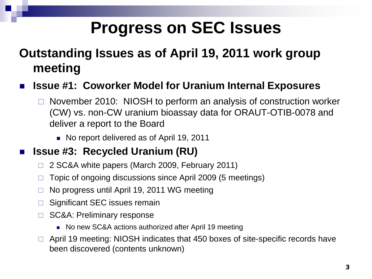## **Progress on SEC Issues**

#### **Outstanding Issues as of April 19, 2011 work group meeting**

- **Issue #1: Coworker Model for Uranium Internal Exposures**
	- November 2010: NIOSH to perform an analysis of construction worker (CW) vs. non-CW uranium bioassay data for ORAUT-OTIB-0078 and deliver a report to the Board
		- No report delivered as of April 19, 2011

#### **Issue #3: Recycled Uranium (RU)**

- □ 2 SC&A white papers (March 2009, February 2011)
- $\Box$  Topic of ongoing discussions since April 2009 (5 meetings)
- $\Box$  No progress until April 19, 2011 WG meeting
- □ Significant SEC issues remain
- □ SC&A: Preliminary response
	- No new SC&A actions authorized after April 19 meeting
- □ April 19 meeting: NIOSH indicates that 450 boxes of site-specific records have been discovered (contents unknown)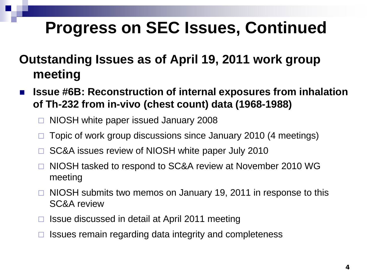## **Progress on SEC Issues, Continued**

#### **Outstanding Issues as of April 19, 2011 work group meeting**

- **Issue #6B: Reconstruction of internal exposures from inhalation of Th-232 from in-vivo (chest count) data (1968-1988)**
	- NIOSH white paper issued January 2008
	- Topic of work group discussions since January 2010 (4 meetings)
	- SC&A issues review of NIOSH white paper July 2010
	- □ NIOSH tasked to respond to SC&A review at November 2010 WG meeting
	- □ NIOSH submits two memos on January 19, 2011 in response to this SC&A review
	- □ Issue discussed in detail at April 2011 meeting
	- Issues remain regarding data integrity and completeness